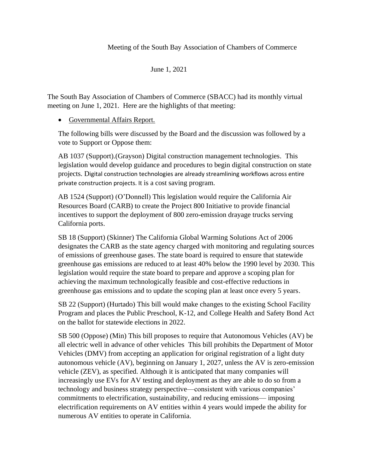June 1, 2021

The South Bay Association of Chambers of Commerce (SBACC) had its monthly virtual meeting on June 1, 2021. Here are the highlights of that meeting:

## • Governmental Affairs Report.

The following bills were discussed by the Board and the discussion was followed by a vote to Support or Oppose them:

AB 1037 (Support).(Grayson) Digital construction management technologies. This legislation would develop guidance and procedures to begin digital construction on state projects. Digital construction technologies are already streamlining workflows across entire private construction projects. It is a cost saving program.

AB 1524 (Support) (O'Donnell) This legislation would require the California Air Resources Board (CARB) to create the Project 800 Initiative to provide financial incentives to support the deployment of 800 zero-emission drayage trucks serving California ports.

SB 18 (Support) (Skinner) The California Global Warming Solutions Act of 2006 designates the CARB as the state agency charged with monitoring and regulating sources of emissions of greenhouse gases. The state board is required to ensure that statewide greenhouse gas emissions are reduced to at least 40% below the 1990 level by 2030. This legislation would require the state board to prepare and approve a scoping plan for achieving the maximum technologically feasible and cost-effective reductions in greenhouse gas emissions and to update the scoping plan at least once every 5 years.

SB 22 (Support) (Hurtado) This bill would make changes to the existing School Facility Program and places the Public Preschool, K-12, and College Health and Safety Bond Act on the ballot for statewide elections in 2022.

SB 500 (Oppose) (Min) This bill proposes to require that Autonomous Vehicles (AV) be all electric well in advance of other vehicles This bill prohibits the Department of Motor Vehicles (DMV) from accepting an application for original registration of a light duty autonomous vehicle (AV), beginning on January 1, 2027, unless the AV is zero-emission vehicle (ZEV), as specified. Although it is anticipated that many companies will increasingly use EVs for AV testing and deployment as they are able to do so from a technology and business strategy perspective—consistent with various companies' commitments to electrification, sustainability, and reducing emissions— imposing electrification requirements on AV entities within 4 years would impede the ability for numerous AV entities to operate in California.